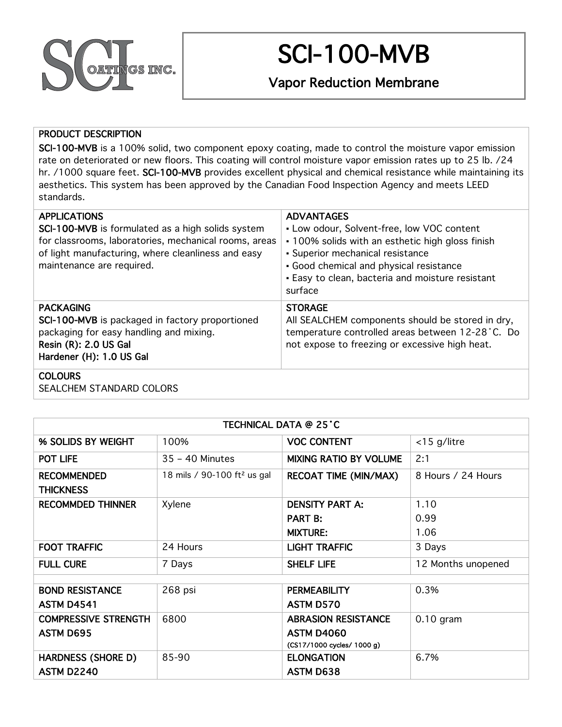

# SCI-100-MVB

Vapor Reduction Membrane

### PRODUCT DESCRIPTION

SCI-100-MVB is a 100% solid, two component epoxy coating, made to control the moisture vapor emission rate on deteriorated or new floors. This coating will control moisture vapor emission rates up to 25 lb. /24 hr. /1000 square feet. SCI-100-MVB provides excellent physical and chemical resistance while maintaining its aesthetics. This system has been approved by the Canadian Food Inspection Agency and meets LEED standards.

| <b>APPLICATIONS</b><br><b>SCI-100-MVB</b> is formulated as a high solids system<br>for classrooms, laboratories, mechanical rooms, areas<br>of light manufacturing, where cleanliness and easy<br>maintenance are required. | <b>ADVANTAGES</b><br>• Low odour, Solvent-free, low VOC content<br>• 100% solids with an esthetic high gloss finish<br>• Superior mechanical resistance<br>· Good chemical and physical resistance<br>• Easy to clean, bacteria and moisture resistant<br>surface |
|-----------------------------------------------------------------------------------------------------------------------------------------------------------------------------------------------------------------------------|-------------------------------------------------------------------------------------------------------------------------------------------------------------------------------------------------------------------------------------------------------------------|
| <b>PACKAGING</b><br>SCI-100-MVB is packaged in factory proportioned<br>packaging for easy handling and mixing.<br>Resin (R): 2.0 US Gal<br>Hardener (H): 1.0 US Gal                                                         | <b>STORAGE</b><br>All SEALCHEM components should be stored in dry,<br>temperature controlled areas between 12-28 °C. Do<br>not expose to freezing or excessive high heat.                                                                                         |
| <b>COLOURS</b>                                                                                                                                                                                                              |                                                                                                                                                                                                                                                                   |

# SEALCHEM STANDARD COLORS

| TECHNICAL DATA @ 25'C                  |                                         |                               |                    |  |  |
|----------------------------------------|-----------------------------------------|-------------------------------|--------------------|--|--|
| % SOLIDS BY WEIGHT                     | 100%                                    | <b>VOC CONTENT</b>            | <15 g/litre        |  |  |
| POT LIFE                               | 35 - 40 Minutes                         | <b>MIXING RATIO BY VOLUME</b> | 2:1                |  |  |
| <b>RECOMMENDED</b><br><b>THICKNESS</b> | 18 mils / 90-100 ft <sup>2</sup> us gal | <b>RECOAT TIME (MIN/MAX)</b>  | 8 Hours / 24 Hours |  |  |
| <b>RECOMMDED THINNER</b>               | Xylene                                  | <b>DENSITY PART A:</b>        | 1.10               |  |  |
|                                        |                                         | <b>PART B:</b>                | 0.99               |  |  |
|                                        |                                         | <b>MIXTURE:</b>               | 1.06               |  |  |
| <b>FOOT TRAFFIC</b>                    | 24 Hours                                | <b>LIGHT TRAFFIC</b>          | 3 Days             |  |  |
| <b>FULL CURE</b>                       | 7 Days                                  | <b>SHELF LIFE</b>             | 12 Months unopened |  |  |
|                                        |                                         |                               |                    |  |  |
| <b>BOND RESISTANCE</b>                 | 268 psi                                 | <b>PERMEABILITY</b>           | 0.3%               |  |  |
| <b>ASTM D4541</b>                      |                                         | ASTM D570                     |                    |  |  |
| <b>COMPRESSIVE STRENGTH</b>            | 6800                                    | <b>ABRASION RESISTANCE</b>    | $0.10$ gram        |  |  |
| <b>ASTM D695</b>                       |                                         | <b>ASTM D4060</b>             |                    |  |  |
|                                        |                                         | (CS17/1000 cycles/ 1000 g)    |                    |  |  |
| <b>HARDNESS (SHORE D)</b>              | 85-90                                   | <b>ELONGATION</b>             | 6.7%               |  |  |
| <b>ASTM D2240</b>                      |                                         | <b>ASTM D638</b>              |                    |  |  |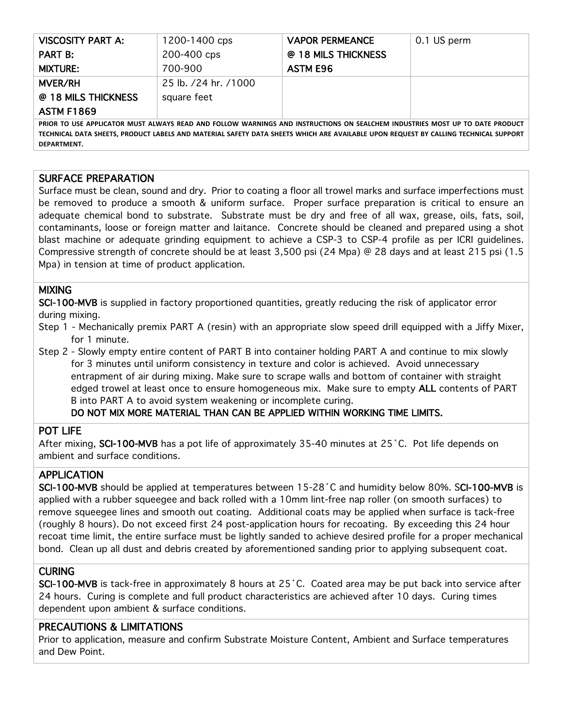| VISCOSITY PART A:                                                                                                            | 1200-1400 cps        | <b>VAPOR PERMEANCE</b> | 0.1 US perm |  |
|------------------------------------------------------------------------------------------------------------------------------|----------------------|------------------------|-------------|--|
| <b>PART B:</b>                                                                                                               | 200-400 cps          | @ 18 MILS THICKNESS    |             |  |
| <b>MIXTURE:</b>                                                                                                              | 700-900              | <b>ASTM E96</b>        |             |  |
| <b>MVER/RH</b>                                                                                                               | 25 lb. /24 hr. /1000 |                        |             |  |
| @ 18 MILS THICKNESS                                                                                                          | square feet          |                        |             |  |
| <b>ASTM F1869</b>                                                                                                            |                      |                        |             |  |
| PRIOR TO USE APPLICATOR MUST ALWAYS READ AND FOLLOW WARNINGS AND INSTRUCTIONS ON SEALCHEM INDUSTRIES MOST UP TO DATE PRODUCT |                      |                        |             |  |

PRIOR TO USE APPLICATOR MUST ALWAYS READ AND FOLLOW WARNINGS AND INSTRUCTIONS ON SEALCHEM INDUSTRIES MOST UP TO DATE PRODUCT TECHNICAL DATA SHEETS, PRODUCT LABELS AND MATERIAL SAFETY DATA SHEETS WHICH ARE AVAILABLE UPON REQUEST BY CALLING TECHNICAL SUPPORT **DEPARTMENT.**

#### SURFACE PREPARATION

Surface must be clean, sound and dry. Prior to coating a floor all trowel marks and surface imperfections must be removed to produce a smooth & uniform surface. Proper surface preparation is critical to ensure an adequate chemical bond to substrate. Substrate must be dry and free of all wax, grease, oils, fats, soil, contaminants, loose or foreign matter and laitance. Concrete should be cleaned and prepared using a shot blast machine or adequate grinding equipment to achieve a CSP-3 to CSP-4 profile as per ICRI guidelines. Compressive strength of concrete should be at least 3,500 psi (24 Mpa) @ 28 days and at least 215 psi (1.5 Mpa) in tension at time of product application.

#### MIXING

SCI-100-MVB is supplied in factory proportioned quantities, greatly reducing the risk of applicator error during mixing.

- Step 1 Mechanically premix PART A (resin) with an appropriate slow speed drill equipped with a Jiffy Mixer, for 1 minute.
- Step 2 Slowly empty entire content of PART B into container holding PART A and continue to mix slowly for 3 minutes until uniform consistency in texture and color is achieved. Avoid unnecessary entrapment of air during mixing. Make sure to scrape walls and bottom of container with straight edged trowel at least once to ensure homogeneous mix. Make sure to empty ALL contents of PART B into PART A to avoid system weakening or incomplete curing.

#### DO NOT MIX MORE MATERIAL THAN CAN BE APPLIED WITHIN WORKING TIME LIMITS.

#### POT LIFE

After mixing, SCI-100-MVB has a pot life of approximately 35-40 minutes at 25°C. Pot life depends on ambient and surface conditions.

#### APPLICATION

SCI-100-MVB should be applied at temperatures between 15-28˚C and humidity below 80%. SCI-100-MVB is applied with a rubber squeegee and back rolled with a 10mm lint-free nap roller (on smooth surfaces) to remove squeegee lines and smooth out coating. Additional coats may be applied when surface is tack-free (roughly 8 hours). Do not exceed first 24 post-application hours for recoating. By exceeding this 24 hour recoat time limit, the entire surface must be lightly sanded to achieve desired profile for a proper mechanical bond. Clean up all dust and debris created by aforementioned sanding prior to applying subsequent coat.

#### **CURING**

SCI-100-MVB is tack-free in approximately 8 hours at 25˚C. Coated area may be put back into service after 24 hours. Curing is complete and full product characteristics are achieved after 10 days. Curing times dependent upon ambient & surface conditions.

## PRECAUTIONS & LIMITATIONS

Prior to application, measure and confirm Substrate Moisture Content, Ambient and Surface temperatures and Dew Point.